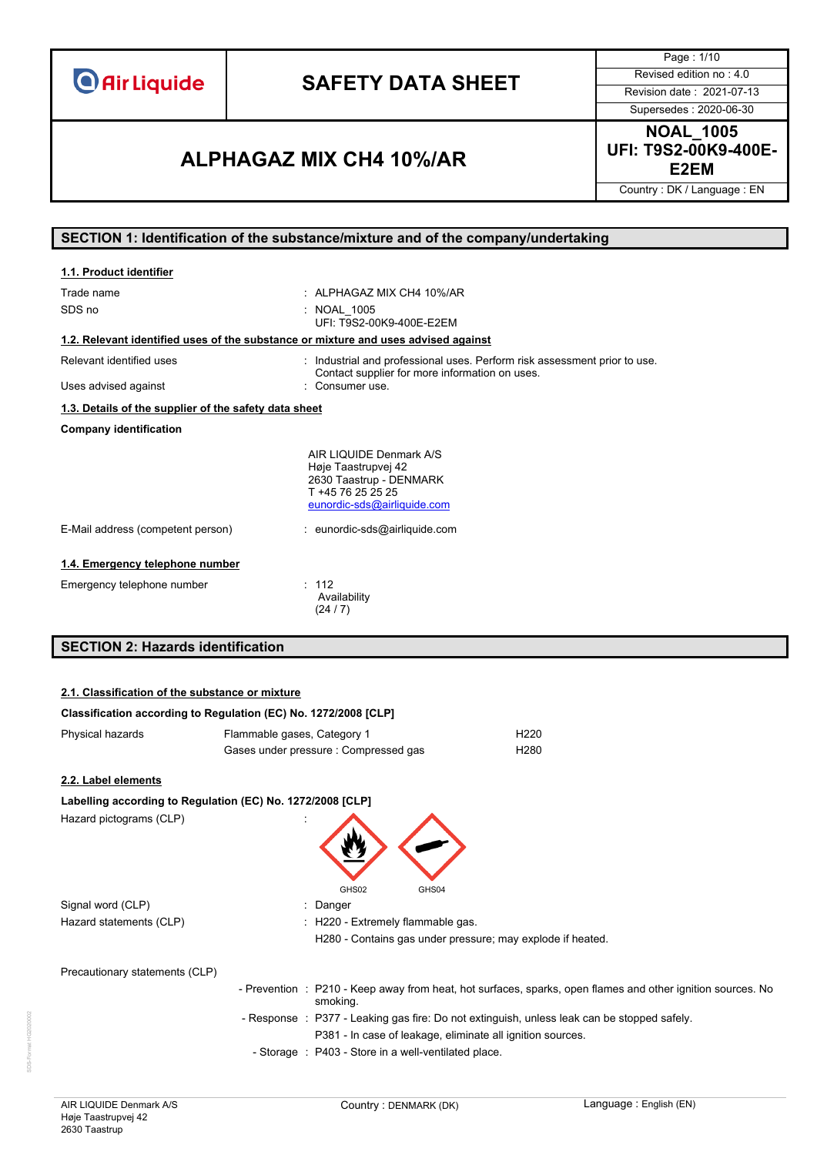# **SAFETY DATA SHEET** Revised edition no : 4.0

Page : 1/10 Supersedes : 2020-06-30

### **E2EM ALPHAGAZ MIX CH4 10%/AR**

**NOAL\_1005 UFI: T9S2-00K9-400E-**

Country : DK / Language : EN

### **SECTION 1: Identification of the substance/mixture and of the company/undertaking**

| 1.1. Product identifier                                                            |                                                                                                                               |
|------------------------------------------------------------------------------------|-------------------------------------------------------------------------------------------------------------------------------|
| Trade name                                                                         | $\cdot$ AI PHAGAZ MIX CH4 10%/AR                                                                                              |
| SDS no                                                                             | <b>NOAL 1005</b><br>UFI: T9S2-00K9-400E-E2EM                                                                                  |
| 1.2. Relevant identified uses of the substance or mixture and uses advised against |                                                                                                                               |
| Relevant identified uses                                                           | Industrial and professional uses. Perform risk assessment prior to use.<br>Contact supplier for more information on uses.     |
| Uses advised against                                                               | Consumer use.                                                                                                                 |
| 1.3. Details of the supplier of the safety data sheet                              |                                                                                                                               |
| <b>Company identification</b>                                                      |                                                                                                                               |
|                                                                                    | AIR LIQUIDE Denmark A/S<br>Høje Taastrupvej 42<br>2630 Taastrup - DENMARK<br>T +45 76 25 25 25<br>eunordic-sds@airliquide.com |
| E-Mail address (competent person)                                                  | : eunordic-sds@airliquide.com                                                                                                 |
| 1.4. Emergency telephone number                                                    |                                                                                                                               |
| Emergency telephone number                                                         | : 112<br>Availability<br>(24/7)                                                                                               |

## **SECTION 2: Hazards identification**

### **2.1. Classification of the substance or mixture**

|                                | Classification according to Regulation (EC) No. 1272/2008 [CLP] |                                                                                                             |
|--------------------------------|-----------------------------------------------------------------|-------------------------------------------------------------------------------------------------------------|
| Physical hazards               | Flammable gases, Category 1                                     | H <sub>220</sub>                                                                                            |
|                                | Gases under pressure : Compressed gas                           | H <sub>280</sub>                                                                                            |
| 2.2. Label elements            |                                                                 |                                                                                                             |
|                                | Labelling according to Regulation (EC) No. 1272/2008 [CLP]      |                                                                                                             |
| Hazard pictograms (CLP)        | GHS02<br>GHS04                                                  |                                                                                                             |
| Signal word (CLP)              | : Danger                                                        |                                                                                                             |
| Hazard statements (CLP)        | : H220 - Extremely flammable gas.                               |                                                                                                             |
|                                |                                                                 | H280 - Contains gas under pressure; may explode if heated.                                                  |
| Precautionary statements (CLP) |                                                                 |                                                                                                             |
|                                | smoking.                                                        | - Prevention : P210 - Keep away from heat, hot surfaces, sparks, open flames and other ignition sources. No |
|                                |                                                                 | - Response : P377 - Leaking gas fire: Do not extinguish, unless leak can be stopped safely.                 |
|                                |                                                                 | P381 - In case of leakage, eliminate all ignition sources.                                                  |
|                                | - Storage : P403 - Store in a well-ventilated place.            |                                                                                                             |
|                                |                                                                 |                                                                                                             |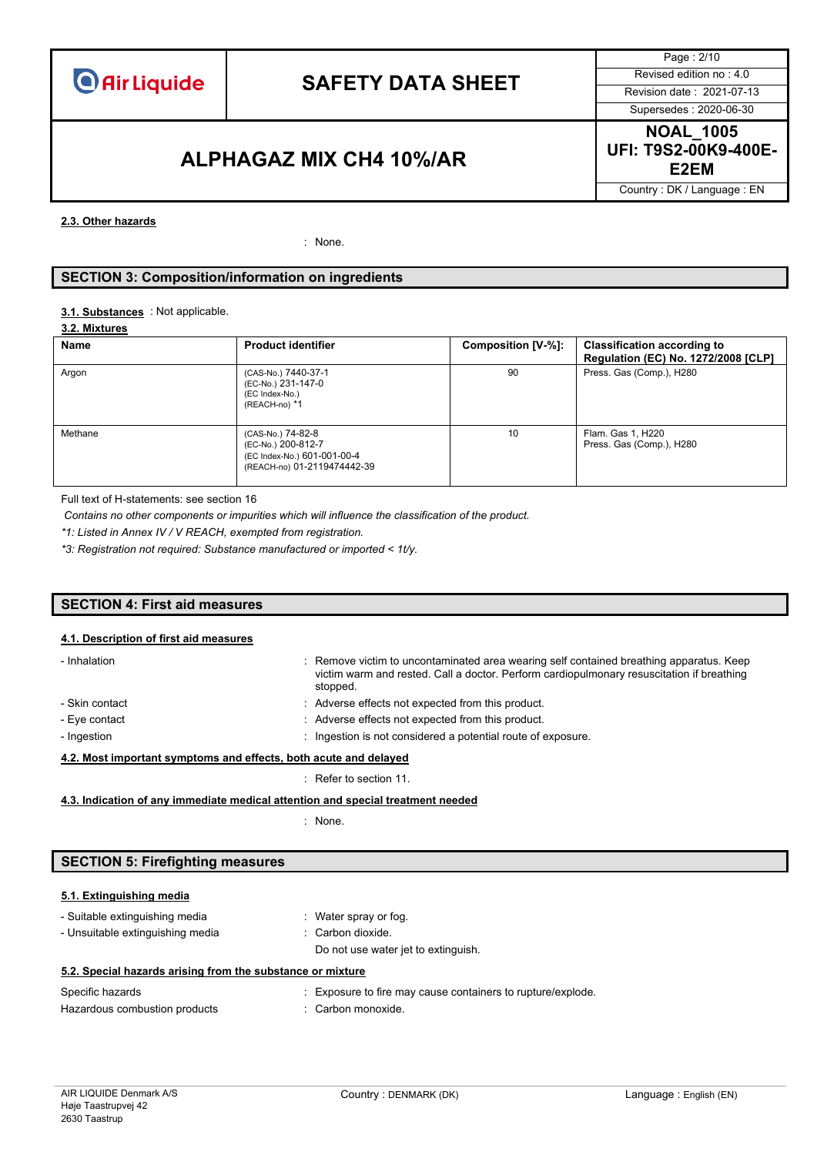

## **SAFETY DATA SHEET** Revised edition no : 4.0

Page : 2/10 Supersedes : 2020-06-30

### **E2EM ALPHAGAZ MIX CH4 10%/AR**

**NOAL\_1005 UFI: T9S2-00K9-400E-**

Country : DK / Language : EN

#### **2.3. Other hazards**

: None.

### **SECTION 3: Composition/information on ingredients**

#### : Not applicable. **3.1. Substances**

|  |  | 3.2. Mixtures |  |
|--|--|---------------|--|
|--|--|---------------|--|

| Name    | <b>Product identifier</b>                                                                             | Composition [V-%]: | <b>Classification according to</b><br>Regulation (EC) No. 1272/2008 [CLP] |
|---------|-------------------------------------------------------------------------------------------------------|--------------------|---------------------------------------------------------------------------|
| Argon   | (CAS-No.) 7440-37-1<br>(EC-No.) 231-147-0<br>(EC Index-No.)<br>(REACH-no) *1                          | 90                 | Press. Gas (Comp.), H280                                                  |
| Methane | (CAS-No.) 74-82-8<br>(EC-No.) 200-812-7<br>(EC Index-No.) 601-001-00-4<br>(REACH-no) 01-2119474442-39 | 10                 | Flam. Gas 1, H220<br>Press. Gas (Comp.), H280                             |

Full text of H-statements: see section 16

*Contains no other components or impurities which will influence the classification of the product.*

*\*1: Listed in Annex IV / V REACH, exempted from registration.*

*\*3: Registration not required: Substance manufactured or imported < 1t/y.*

### **SECTION 4: First aid measures**

#### **4.1. Description of first aid measures**

| : Remove victim to uncontaminated area wearing self contained breathing apparatus. Keep<br>- Inhalation<br>victim warm and rested. Call a doctor. Perform cardiopulmonary resuscitation if breathing<br>stopped. |  |  |  |  |
|------------------------------------------------------------------------------------------------------------------------------------------------------------------------------------------------------------------|--|--|--|--|
| : Adverse effects not expected from this product.<br>- Skin contact                                                                                                                                              |  |  |  |  |
| : Adverse effects not expected from this product.<br>- Eye contact                                                                                                                                               |  |  |  |  |
| : Ingestion is not considered a potential route of exposure.<br>- Ingestion                                                                                                                                      |  |  |  |  |
| 4.2. Most important symptoms and effects, both acute and delayed                                                                                                                                                 |  |  |  |  |

### : Refer to section 11.

**4.3. Indication of any immediate medical attention and special treatment needed**

: None.

### **SECTION 5: Firefighting measures**

### **5.1. Extinguishing media**

- Suitable extinguishing media : Water spray or fog. - Unsuitable extinguishing media : Carbon dioxide.

Do not use water jet to extinguish.

|  |  | 5.2. Special hazards arising from the substance or mixture |  |  |  |  |
|--|--|------------------------------------------------------------|--|--|--|--|
|--|--|------------------------------------------------------------|--|--|--|--|

| Specific hazards              | : Exposure to fire may cause containers to rupture/explode. |
|-------------------------------|-------------------------------------------------------------|
| Hazardous combustion products | : Carbon monoxide.                                          |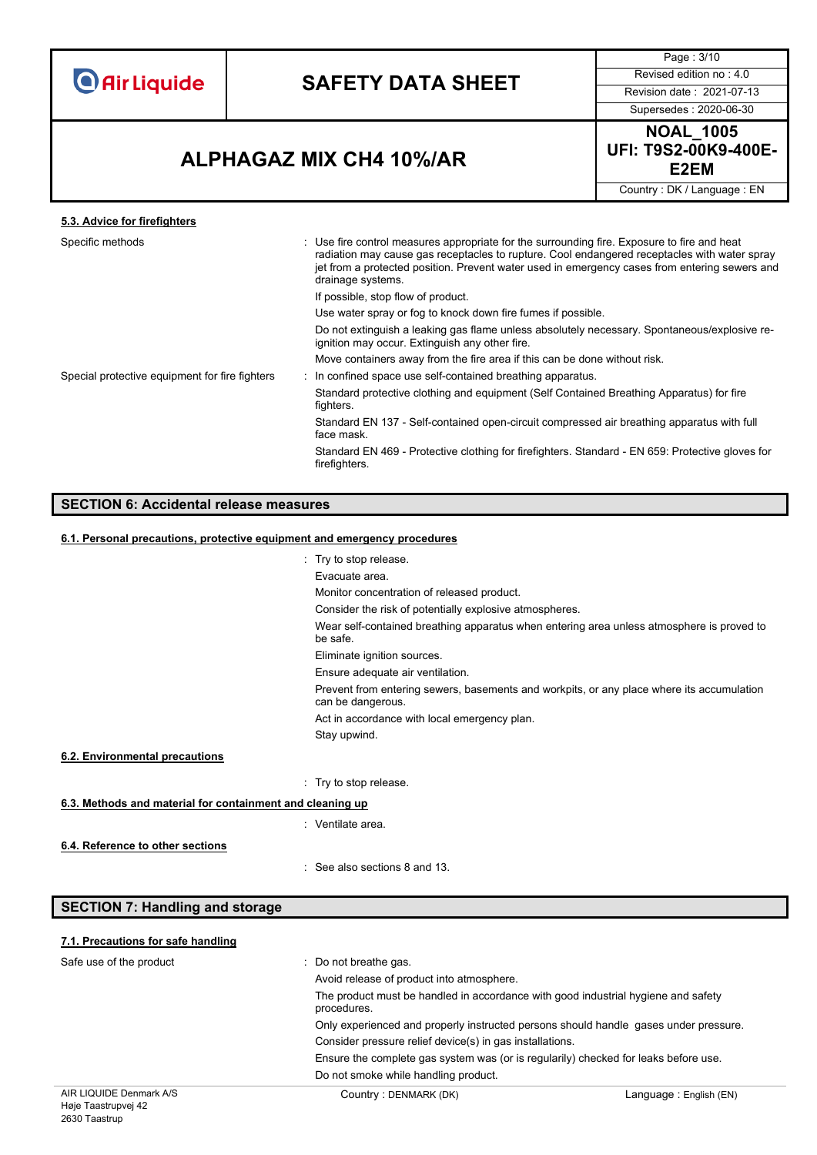# **SAFETY DATA SHEET** Revised edition no : 4.0

Page : 3/10

Supersedes : 2020-06-30

### **E2EM ALPHAGAZ MIX CH4 10%/AR**

**NOAL\_1005 UFI: T9S2-00K9-400E-**

Country : DK / Language : EN

### **5.3. Advice for firefighters**

| Specific methods                               | : Use fire control measures appropriate for the surrounding fire. Exposure to fire and heat<br>radiation may cause gas receptacles to rupture. Cool endangered receptacles with water spray<br>jet from a protected position. Prevent water used in emergency cases from entering sewers and<br>drainage systems. |
|------------------------------------------------|-------------------------------------------------------------------------------------------------------------------------------------------------------------------------------------------------------------------------------------------------------------------------------------------------------------------|
|                                                | If possible, stop flow of product.                                                                                                                                                                                                                                                                                |
|                                                | Use water spray or fog to knock down fire fumes if possible.                                                                                                                                                                                                                                                      |
|                                                | Do not extinguish a leaking gas flame unless absolutely necessary. Spontaneous/explosive re-<br>ignition may occur. Extinguish any other fire.                                                                                                                                                                    |
|                                                | Move containers away from the fire area if this can be done without risk.                                                                                                                                                                                                                                         |
| Special protective equipment for fire fighters | : In confined space use self-contained breathing apparatus.                                                                                                                                                                                                                                                       |
|                                                | Standard protective clothing and equipment (Self Contained Breathing Apparatus) for fire<br>fighters.                                                                                                                                                                                                             |
|                                                | Standard EN 137 - Self-contained open-circuit compressed air breathing apparatus with full<br>face mask.                                                                                                                                                                                                          |
|                                                | Standard EN 469 - Protective clothing for firefighters. Standard - EN 659: Protective gloves for<br>firefighters.                                                                                                                                                                                                 |

### **SECTION 6: Accidental release measures**

### **6.1. Personal precautions, protective equipment and emergency procedures**

|                                                                                                                | : Try to stop release.                                                                                |  |  |  |  |
|----------------------------------------------------------------------------------------------------------------|-------------------------------------------------------------------------------------------------------|--|--|--|--|
|                                                                                                                | Evacuate area.                                                                                        |  |  |  |  |
|                                                                                                                | Monitor concentration of released product.                                                            |  |  |  |  |
|                                                                                                                | Consider the risk of potentially explosive atmospheres.                                               |  |  |  |  |
|                                                                                                                | Wear self-contained breathing apparatus when entering area unless atmosphere is proved to<br>be safe. |  |  |  |  |
|                                                                                                                | Eliminate ignition sources.                                                                           |  |  |  |  |
|                                                                                                                | Ensure adequate air ventilation.                                                                      |  |  |  |  |
| Prevent from entering sewers, basements and workpits, or any place where its accumulation<br>can be dangerous. |                                                                                                       |  |  |  |  |
| Act in accordance with local emergency plan.                                                                   |                                                                                                       |  |  |  |  |
|                                                                                                                | Stay upwind.                                                                                          |  |  |  |  |
| 6.2. Environmental precautions                                                                                 |                                                                                                       |  |  |  |  |
|                                                                                                                | : Try to stop release.                                                                                |  |  |  |  |
| 6.3. Methods and material for containment and cleaning up                                                      |                                                                                                       |  |  |  |  |
|                                                                                                                | : Ventilate area.                                                                                     |  |  |  |  |
| 6.4. Reference to other sections                                                                               |                                                                                                       |  |  |  |  |
|                                                                                                                | $\therefore$ See also sections 8 and 13.                                                              |  |  |  |  |
| <b>SECTION 7: Handling and storage</b>                                                                         |                                                                                                       |  |  |  |  |

### **7.1. Precautions for safe handling**

| Safe use of the product                                        | : Do not breathe gas.<br>Avoid release of product into atmosphere.                               |                        |
|----------------------------------------------------------------|--------------------------------------------------------------------------------------------------|------------------------|
|                                                                | The product must be handled in accordance with good industrial hygiene and safety<br>procedures. |                        |
|                                                                | Only experienced and properly instructed persons should handle gases under pressure.             |                        |
|                                                                | Consider pressure relief device(s) in gas installations.                                         |                        |
|                                                                | Ensure the complete gas system was (or is regularily) checked for leaks before use.              |                        |
|                                                                | Do not smoke while handling product.                                                             |                        |
| AIR LIQUIDE Denmark A/S<br>$\cdots$ $\cdots$ $\cdots$ $\cdots$ | Country: DENMARK (DK)                                                                            | Language: English (EN) |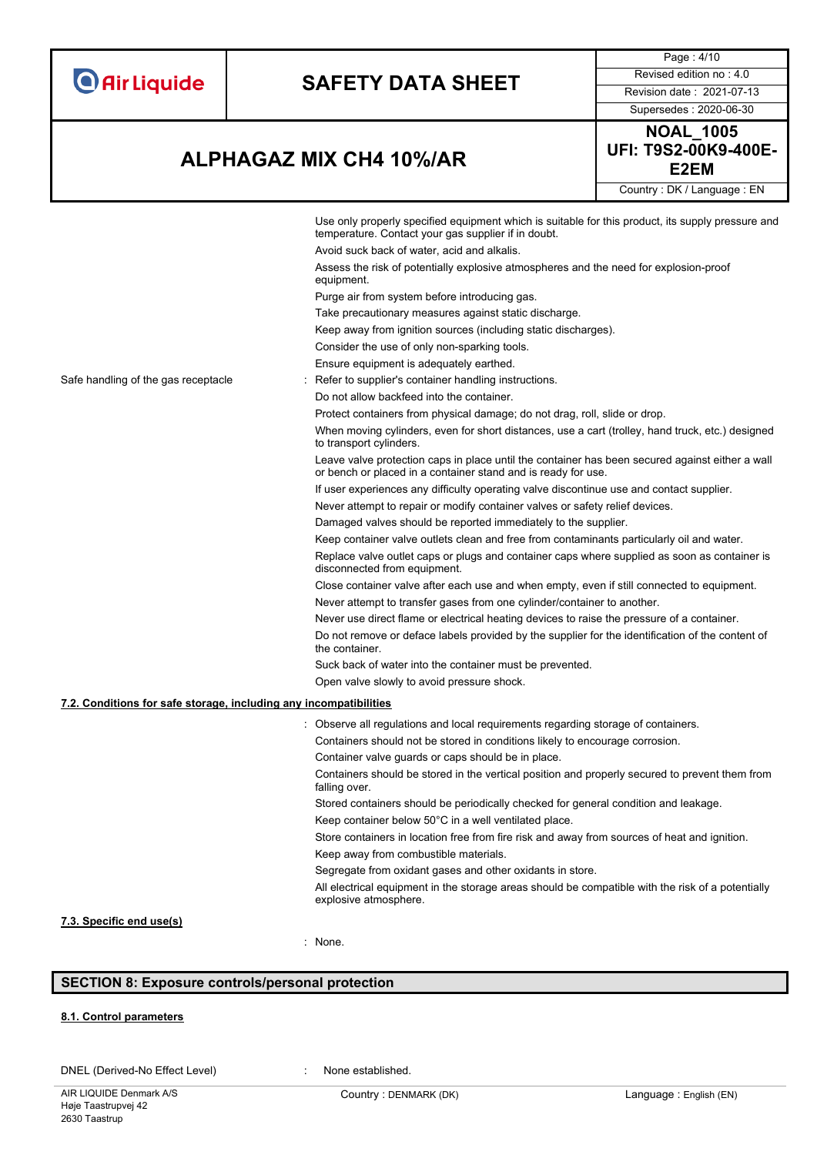| <b>O</b> Air Liquide |  |  |  |  |
|----------------------|--|--|--|--|
|                      |  |  |  |  |

# **SAFETY DATA SHEET** Revised edition no : 4.0

Supersedes : 2020-06-30

Page : 4/10

**E2EM ALPHAGAZ MIX CH4 10%/AR**

| ---------------            |  |  |
|----------------------------|--|--|
| <b>NOAL 1005</b>           |  |  |
| UFI: T9S2-00K9-400E-       |  |  |
| E2EM                       |  |  |
| Country: DK / Language: EN |  |  |

|                                                                   | Use only properly specified equipment which is suitable for this product, its supply pressure and<br>temperature. Contact your gas supplier if in doubt.         |
|-------------------------------------------------------------------|------------------------------------------------------------------------------------------------------------------------------------------------------------------|
|                                                                   | Avoid suck back of water, acid and alkalis.                                                                                                                      |
|                                                                   | Assess the risk of potentially explosive atmospheres and the need for explosion-proof<br>equipment.                                                              |
|                                                                   | Purge air from system before introducing gas.                                                                                                                    |
|                                                                   | Take precautionary measures against static discharge.                                                                                                            |
|                                                                   | Keep away from ignition sources (including static discharges).                                                                                                   |
|                                                                   | Consider the use of only non-sparking tools.                                                                                                                     |
|                                                                   | Ensure equipment is adequately earthed.                                                                                                                          |
| Safe handling of the gas receptacle                               | Refer to supplier's container handling instructions.                                                                                                             |
|                                                                   | Do not allow backfeed into the container.                                                                                                                        |
|                                                                   | Protect containers from physical damage; do not drag, roll, slide or drop.                                                                                       |
|                                                                   | When moving cylinders, even for short distances, use a cart (trolley, hand truck, etc.) designed<br>to transport cylinders.                                      |
|                                                                   | Leave valve protection caps in place until the container has been secured against either a wall<br>or bench or placed in a container stand and is ready for use. |
|                                                                   | If user experiences any difficulty operating valve discontinue use and contact supplier.                                                                         |
|                                                                   | Never attempt to repair or modify container valves or safety relief devices.                                                                                     |
|                                                                   | Damaged valves should be reported immediately to the supplier.                                                                                                   |
|                                                                   | Keep container valve outlets clean and free from contaminants particularly oil and water.                                                                        |
|                                                                   | Replace valve outlet caps or plugs and container caps where supplied as soon as container is<br>disconnected from equipment.                                     |
|                                                                   | Close container valve after each use and when empty, even if still connected to equipment.                                                                       |
|                                                                   | Never attempt to transfer gases from one cylinder/container to another.                                                                                          |
|                                                                   | Never use direct flame or electrical heating devices to raise the pressure of a container.                                                                       |
|                                                                   | Do not remove or deface labels provided by the supplier for the identification of the content of<br>the container.                                               |
|                                                                   | Suck back of water into the container must be prevented.                                                                                                         |
|                                                                   | Open valve slowly to avoid pressure shock.                                                                                                                       |
| 7.2. Conditions for safe storage, including any incompatibilities |                                                                                                                                                                  |
|                                                                   | Observe all regulations and local requirements regarding storage of containers.                                                                                  |
|                                                                   | Containers should not be stored in conditions likely to encourage corrosion.                                                                                     |
|                                                                   | Container valve guards or caps should be in place.                                                                                                               |
|                                                                   | Containers should be stored in the vertical position and properly secured to prevent them from<br>falling over.                                                  |
|                                                                   | Stored containers should be periodically checked for general condition and leakage.                                                                              |
|                                                                   | Keep container below 50°C in a well ventilated place.                                                                                                            |
|                                                                   | Store containers in location free from fire risk and away from sources of heat and ignition.                                                                     |
|                                                                   | Keep away from combustible materials.                                                                                                                            |
|                                                                   | Segregate from oxidant gases and other oxidants in store.                                                                                                        |
|                                                                   | All electrical equipment in the storage areas should be compatible with the risk of a potentially<br>explosive atmosphere.                                       |

### **7.3. Specific end use(s)**

: None.

### **SECTION 8: Exposure controls/personal protection**

### **8.1. Control parameters**

DNEL (Derived-No Effect Level) : None established.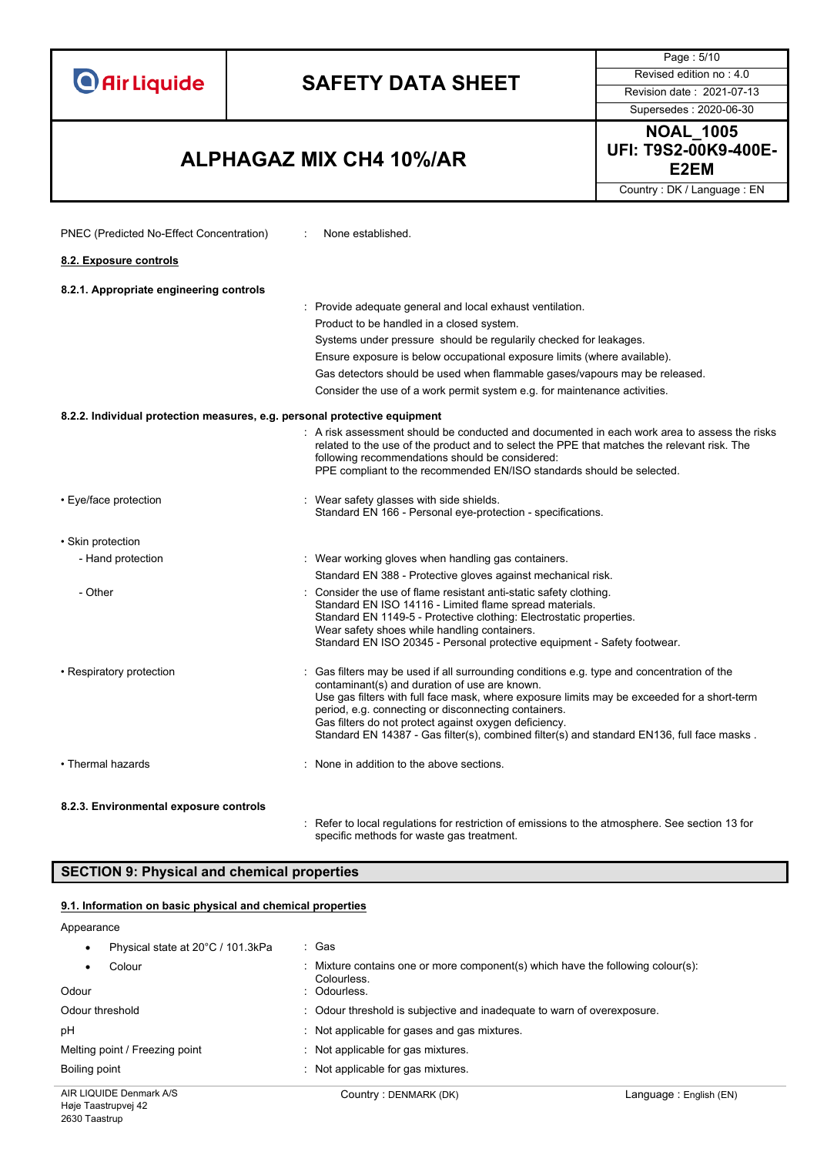| <b>Air Liquide</b>                                                 | <b>SAFETY DATA SHEET</b>                                                                                                                                                                                                                                                                                                                                                                                                                                                                                                                                                                                                                                                                                                                                                                                                   | Page: 5/10<br>Revised edition no: 4.0<br>Revision date: 2021-07-13<br>Supersedes: 2020-06-30 |
|--------------------------------------------------------------------|----------------------------------------------------------------------------------------------------------------------------------------------------------------------------------------------------------------------------------------------------------------------------------------------------------------------------------------------------------------------------------------------------------------------------------------------------------------------------------------------------------------------------------------------------------------------------------------------------------------------------------------------------------------------------------------------------------------------------------------------------------------------------------------------------------------------------|----------------------------------------------------------------------------------------------|
| <b>ALPHAGAZ MIX CH4 10%/AR</b>                                     |                                                                                                                                                                                                                                                                                                                                                                                                                                                                                                                                                                                                                                                                                                                                                                                                                            | <b>NOAL_1005</b><br>UFI: T9S2-00K9-400E-<br>E <sub>2</sub> EM                                |
|                                                                    |                                                                                                                                                                                                                                                                                                                                                                                                                                                                                                                                                                                                                                                                                                                                                                                                                            | Country: DK / Language: EN                                                                   |
| PNEC (Predicted No-Effect Concentration)<br>8.2. Exposure controls | None established.                                                                                                                                                                                                                                                                                                                                                                                                                                                                                                                                                                                                                                                                                                                                                                                                          |                                                                                              |
|                                                                    |                                                                                                                                                                                                                                                                                                                                                                                                                                                                                                                                                                                                                                                                                                                                                                                                                            |                                                                                              |
| 8.2.1. Appropriate engineering controls                            | : Provide adequate general and local exhaust ventilation.<br>Product to be handled in a closed system.<br>Systems under pressure should be regularily checked for leakages.<br>Ensure exposure is below occupational exposure limits (where available).<br>Gas detectors should be used when flammable gases/vapours may be released.<br>Consider the use of a work permit system e.g. for maintenance activities.<br>8.2.2. Individual protection measures, e.g. personal protective equipment<br>: A risk assessment should be conducted and documented in each work area to assess the risks<br>related to the use of the product and to select the PPE that matches the relevant risk. The<br>following recommendations should be considered:<br>PPE compliant to the recommended EN/ISO standards should be selected. |                                                                                              |
| • Eye/face protection                                              | Wear safety glasses with side shields.<br>Standard EN 166 - Personal eye-protection - specifications.                                                                                                                                                                                                                                                                                                                                                                                                                                                                                                                                                                                                                                                                                                                      |                                                                                              |
| • Skin protection                                                  |                                                                                                                                                                                                                                                                                                                                                                                                                                                                                                                                                                                                                                                                                                                                                                                                                            |                                                                                              |
| - Hand protection                                                  | : Wear working gloves when handling gas containers.<br>Standard EN 388 - Protective gloves against mechanical risk.                                                                                                                                                                                                                                                                                                                                                                                                                                                                                                                                                                                                                                                                                                        |                                                                                              |
| - Other                                                            | Consider the use of flame resistant anti-static safety clothing.<br>Standard EN ISO 14116 - Limited flame spread materials.<br>Standard EN 1149-5 - Protective clothing: Electrostatic properties.<br>Wear safety shoes while handling containers.<br>Standard EN ISO 20345 - Personal protective equipment - Safety footwear.                                                                                                                                                                                                                                                                                                                                                                                                                                                                                             |                                                                                              |
| • Respiratory protection                                           | Gas filters may be used if all surrounding conditions e.g. type and concentration of the<br>contaminant(s) and duration of use are known.<br>Use gas filters with full face mask, where exposure limits may be exceeded for a short-term<br>period, e.g. connecting or disconnecting containers.<br>Gas filters do not protect against oxygen deficiency.<br>Standard EN 14387 - Gas filter(s), combined filter(s) and standard EN136, full face masks.                                                                                                                                                                                                                                                                                                                                                                    |                                                                                              |
| • Thermal hazards                                                  | None in addition to the above sections.                                                                                                                                                                                                                                                                                                                                                                                                                                                                                                                                                                                                                                                                                                                                                                                    |                                                                                              |

### **8.2.3. Environmental exposure controls**

: Refer to local regulations for restriction of emissions to the atmosphere. See section 13 for specific methods for waste gas treatment.

### **SECTION 9: Physical and chemical properties**

### **9.1. Information on basic physical and chemical properties**

#### Appearance

| Odour threshold<br>pH                           | : Odour threshold is subjective and inadequate to warn of overexposure.<br>Not applicable for gases and gas mixtures. |                         |
|-------------------------------------------------|-----------------------------------------------------------------------------------------------------------------------|-------------------------|
| Melting point / Freezing point<br>Boiling point | Not applicable for gas mixtures.<br>Not applicable for gas mixtures.                                                  |                         |
| AIR LIQUIDE Denmark A/S                         | Country: DENMARK (DK)                                                                                                 | Language : English (EN) |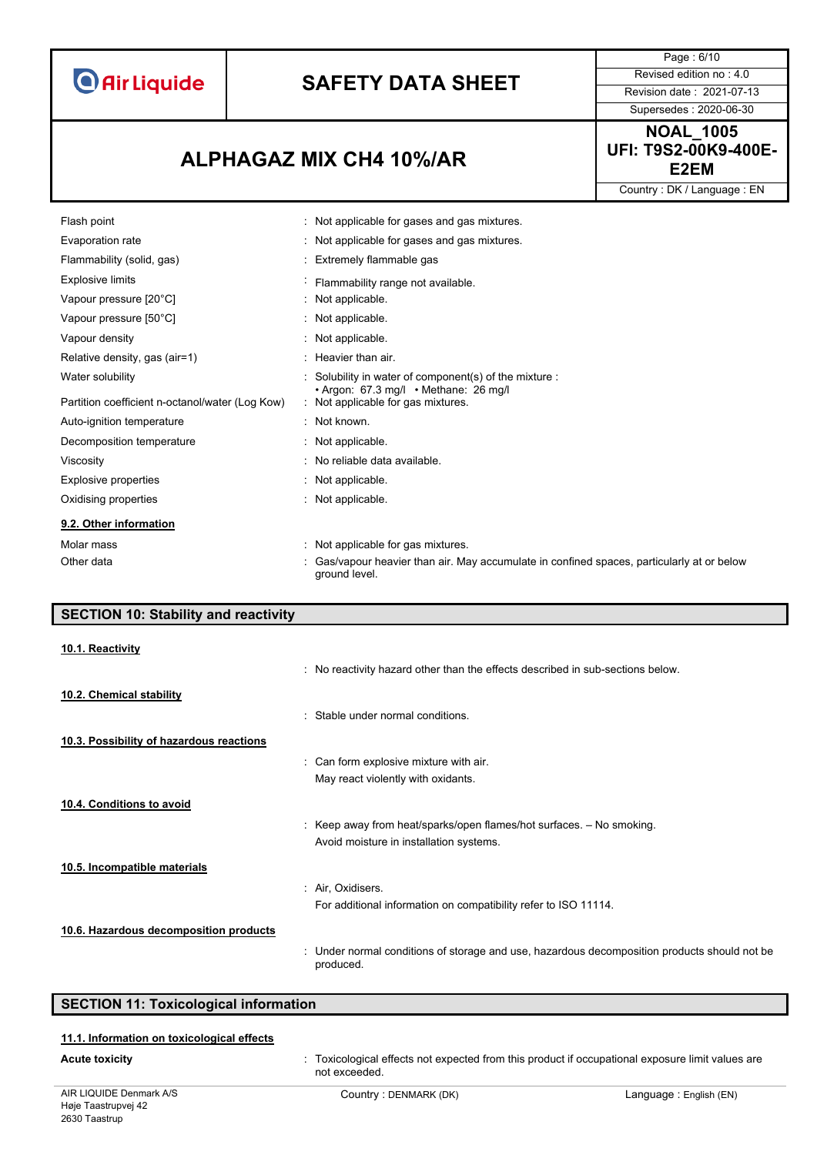# **SAFETY DATA SHEET** Revised edition no : 4.0

**E2EM ALPHAGAZ MIX CH4 10%/AR**

ground level.

Page : 6/10 Supersedes : 2020-06-30 **NOAL\_1005** 

**UFI: T9S2-00K9-400E-**

Country : DK / Language : EN

| Flash point                                     | : Not applicable for gases and gas mixtures.                                               |
|-------------------------------------------------|--------------------------------------------------------------------------------------------|
| Evaporation rate                                | : Not applicable for gases and gas mixtures.                                               |
| Flammability (solid, gas)                       | : Extremely flammable gas                                                                  |
| <b>Explosive limits</b>                         | Flammability range not available.                                                          |
| Vapour pressure [20°C]                          | : Not applicable.                                                                          |
| Vapour pressure [50°C]                          | : Not applicable.                                                                          |
| Vapour density                                  | : Not applicable.                                                                          |
| Relative density, gas (air=1)                   | $:$ Heavier than air.                                                                      |
| Water solubility                                | : Solubility in water of component(s) of the mixture :                                     |
| Partition coefficient n-octanol/water (Log Kow) | $\cdot$ Argon: 67.3 mg/l $\cdot$ Methane: 26 mg/l<br>: Not applicable for gas mixtures.    |
| Auto-ignition temperature                       | : Not known.                                                                               |
| Decomposition temperature                       | : Not applicable.                                                                          |
| Viscosity                                       | : No reliable data available.                                                              |
| Explosive properties                            | : Not applicable.                                                                          |
| Oxidising properties                            | : Not applicable.                                                                          |
| 9.2. Other information                          |                                                                                            |
| Molar mass                                      | Not applicable for gas mixtures.                                                           |
| Other data                                      | : Gas/vapour heavier than air. May accumulate in confined spaces, particularly at or below |

| <b>SECTION 10: Stability and reactivity</b> |                                                                                                           |
|---------------------------------------------|-----------------------------------------------------------------------------------------------------------|
| 10.1. Reactivity                            |                                                                                                           |
|                                             | : No reactivity hazard other than the effects described in sub-sections below.                            |
| 10.2. Chemical stability                    |                                                                                                           |
|                                             | : Stable under normal conditions.                                                                         |
| 10.3. Possibility of hazardous reactions    |                                                                                                           |
|                                             | : Can form explosive mixture with air.                                                                    |
|                                             | May react violently with oxidants.                                                                        |
| 10.4. Conditions to avoid                   |                                                                                                           |
|                                             | : Keep away from heat/sparks/open flames/hot surfaces. - No smoking.                                      |
|                                             | Avoid moisture in installation systems.                                                                   |
| 10.5. Incompatible materials                |                                                                                                           |
|                                             | : Air, Oxidisers.                                                                                         |
|                                             | For additional information on compatibility refer to ISO 11114.                                           |
| 10.6. Hazardous decomposition products      |                                                                                                           |
|                                             | : Under normal conditions of storage and use, hazardous decomposition products should not be<br>produced. |

### **SECTION 11: Toxicological information**

#### **11.1. Information on toxicological effects**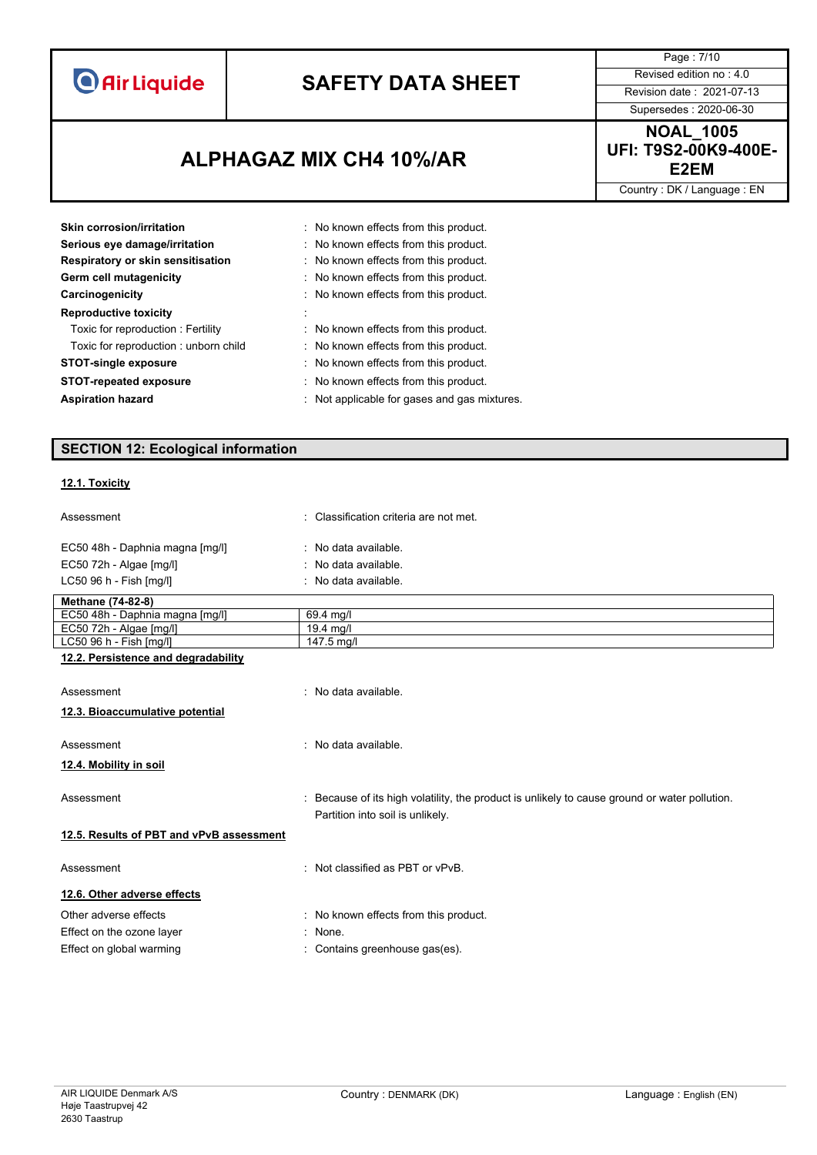# **SAFETY DATA SHEET** Revised edition no : 4.0

**E2EM ALPHAGAZ MIX CH4 10%/AR**

Supersedes : 2020-06-30 **NOAL\_1005** 

Page : 7/10

**UFI: T9S2-00K9-400E-**

Country : DK / Language : EN

| Skin corrosion/irritation            | : No known effects from this product.        |
|--------------------------------------|----------------------------------------------|
| Serious eye damage/irritation        | : No known effects from this product.        |
| Respiratory or skin sensitisation    | : No known effects from this product.        |
| Germ cell mutagenicity               | : No known effects from this product.        |
| Carcinogenicity                      | : No known effects from this product.        |
| <b>Reproductive toxicity</b>         |                                              |
| Toxic for reproduction: Fertility    | : No known effects from this product.        |
| Toxic for reproduction: unborn child | : No known effects from this product.        |
| <b>STOT-single exposure</b>          | : No known effects from this product.        |
| <b>STOT-repeated exposure</b>        | : No known effects from this product.        |
| <b>Aspiration hazard</b>             | : Not applicable for gases and gas mixtures. |

### **SECTION 12: Ecological information**

### **12.1. Toxicity**

| Assessment                               | : Classification criteria are not met.                                                        |
|------------------------------------------|-----------------------------------------------------------------------------------------------|
| EC50 48h - Daphnia magna [mg/l]          | : No data available.                                                                          |
| EC50 72h - Algae [mg/l]                  | : No data available.                                                                          |
| LC50 96 h - Fish [mg/l]                  | : No data available.                                                                          |
| Methane (74-82-8)                        |                                                                                               |
| EC50 48h - Daphnia magna [mg/l]          | 69.4 mg/l                                                                                     |
| EC50 72h - Algae [mg/l]                  | 19.4 mg/l                                                                                     |
| LC50 96 h - Fish [mg/l]                  | 147.5 mg/l                                                                                    |
| 12.2. Persistence and degradability      |                                                                                               |
|                                          |                                                                                               |
| Assessment                               | : No data available.                                                                          |
| 12.3. Bioaccumulative potential          |                                                                                               |
|                                          |                                                                                               |
| Assessment                               | : No data available.                                                                          |
| 12.4. Mobility in soil                   |                                                                                               |
|                                          |                                                                                               |
| Assessment                               | : Because of its high volatility, the product is unlikely to cause ground or water pollution. |
|                                          | Partition into soil is unlikely.                                                              |
|                                          |                                                                                               |
| 12.5. Results of PBT and vPvB assessment |                                                                                               |
| Assessment                               | : Not classified as PBT or vPvB.                                                              |
|                                          |                                                                                               |
| 12.6. Other adverse effects              |                                                                                               |
| Other adverse effects                    | : No known effects from this product.                                                         |

- Effect on the ozone layer **in the set of the set of the set of the set of the set of the set of the set of the set of the set of the set of the set of the set of the set of the set of the set of the set of the set of the s**
- Effect on global warming **in the contains greenhouse gas(es)**.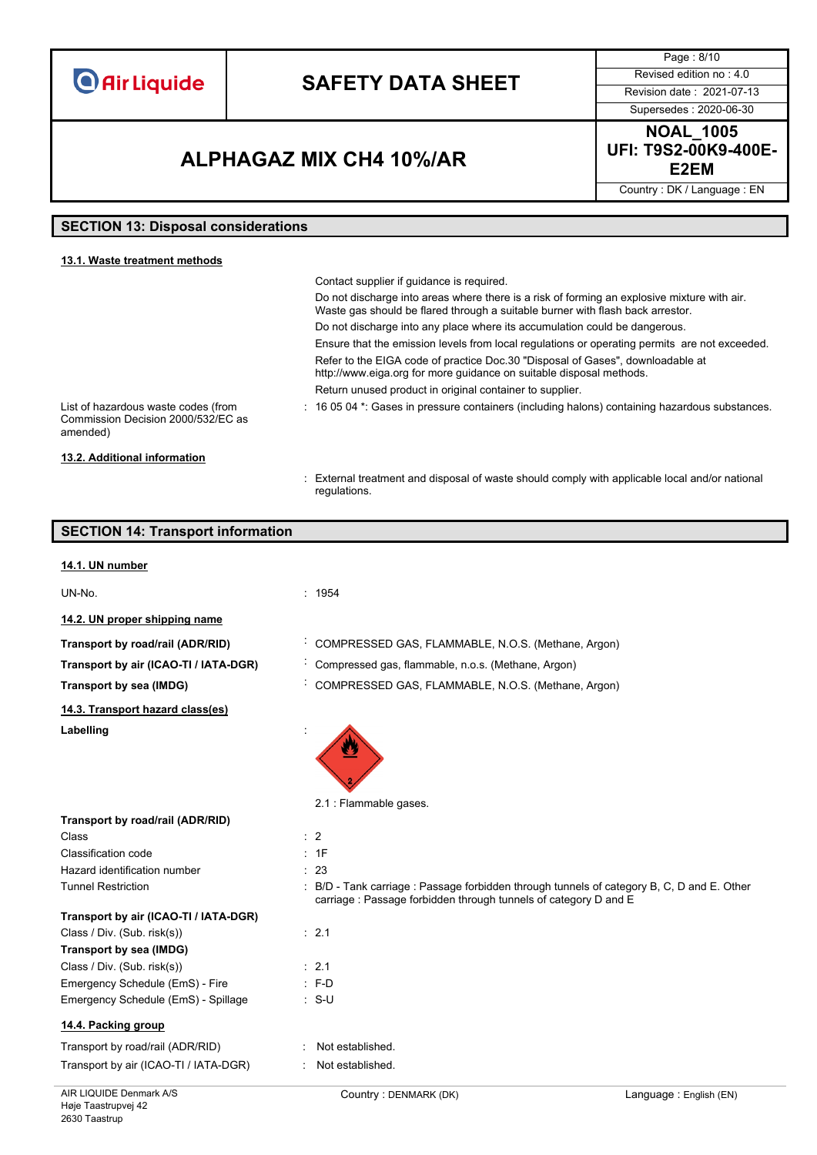## **SAFETY DATA SHEET** Revised edition no : 4.0

Supersedes : 2020-06-30

Page : 8/10

### **E2EM ALPHAGAZ MIX CH4 10%/AR**

**NOAL\_1005 UFI: T9S2-00K9-400E-**

Country : DK / Language : EN

### **SECTION 13: Disposal considerations**

| 13.1. Waste treatment methods                                                         |                                                                                                                                                                               |
|---------------------------------------------------------------------------------------|-------------------------------------------------------------------------------------------------------------------------------------------------------------------------------|
|                                                                                       | Contact supplier if guidance is required.                                                                                                                                     |
|                                                                                       | Do not discharge into areas where there is a risk of forming an explosive mixture with air.<br>Waste gas should be flared through a suitable burner with flash back arrestor. |
|                                                                                       | Do not discharge into any place where its accumulation could be dangerous.                                                                                                    |
|                                                                                       | Ensure that the emission levels from local regulations or operating permits are not exceeded.                                                                                 |
|                                                                                       | Refer to the EIGA code of practice Doc.30 "Disposal of Gases", downloadable at<br>http://www.eiga.org for more guidance on suitable disposal methods.                         |
|                                                                                       | Return unused product in original container to supplier.                                                                                                                      |
| List of hazardous waste codes (from<br>Commission Decision 2000/532/EC as<br>amended) | $\pm$ 16 05 04 $^*$ . Gases in pressure containers (including halons) containing hazardous substances.                                                                        |
| 13.2. Additional information                                                          |                                                                                                                                                                               |

: External treatment and disposal of waste should comply with applicable local and/or national regulations.

### **SECTION 14: Transport information**

#### **14.1. UN number**

UN-No. : 1954

**14.2. UN proper shipping name**

**Transport by road/rail (ADR/RID)** : COMPRESSED GAS, FLAMMABLE, N.O.S. (Methane, Argon)

**Transport by air (ICAO-TI / IATA-DGR)** : Compressed gas, flammable, n.o.s. (Methane, Argon)

**Transport by sea (IMDG)** : COMPRESSED GAS, FLAMMABLE, N.O.S. (Methane, Argon)

**14.3. Transport hazard class(es)**

**Transport by road/rail (ADR/RID)**

Labelling

2.1 : Flammable gases.

| Class               |  |
|---------------------|--|
| Classification code |  |

Hazard identification number : 23

 $\therefore$  S-U

Tunnel Restriction **in the COLO COLOGY COLOGY COLOGY** : B/D - Tank carriage : Passage forbidden through tunnels of category B, C, D and E. Other carriage : Passage forbidden through tunnels of category D and E

| Transport by air (ICAO-TI / IATA-DGR) |  |
|---------------------------------------|--|
|---------------------------------------|--|

### Class / Div. (Sub. risk(s)) : 2.1

| Transport by sea (IMDG)             |                  |
|-------------------------------------|------------------|
| Class / Div. (Sub. risk(s))         | $\therefore$ 2.1 |
| Emergency Schedule (EmS) - Fire     | : F-D            |
| Emergency Schedule (EmS) - Spillage | : S-U            |

### **14.4. Packing group**

Høje Taastrupvej 42 2630 Taastrup

| Transport by road/rail (ADR/RID)      | : Not established. |
|---------------------------------------|--------------------|
| Transport by air (ICAO-TI / IATA-DGR) | : Not established. |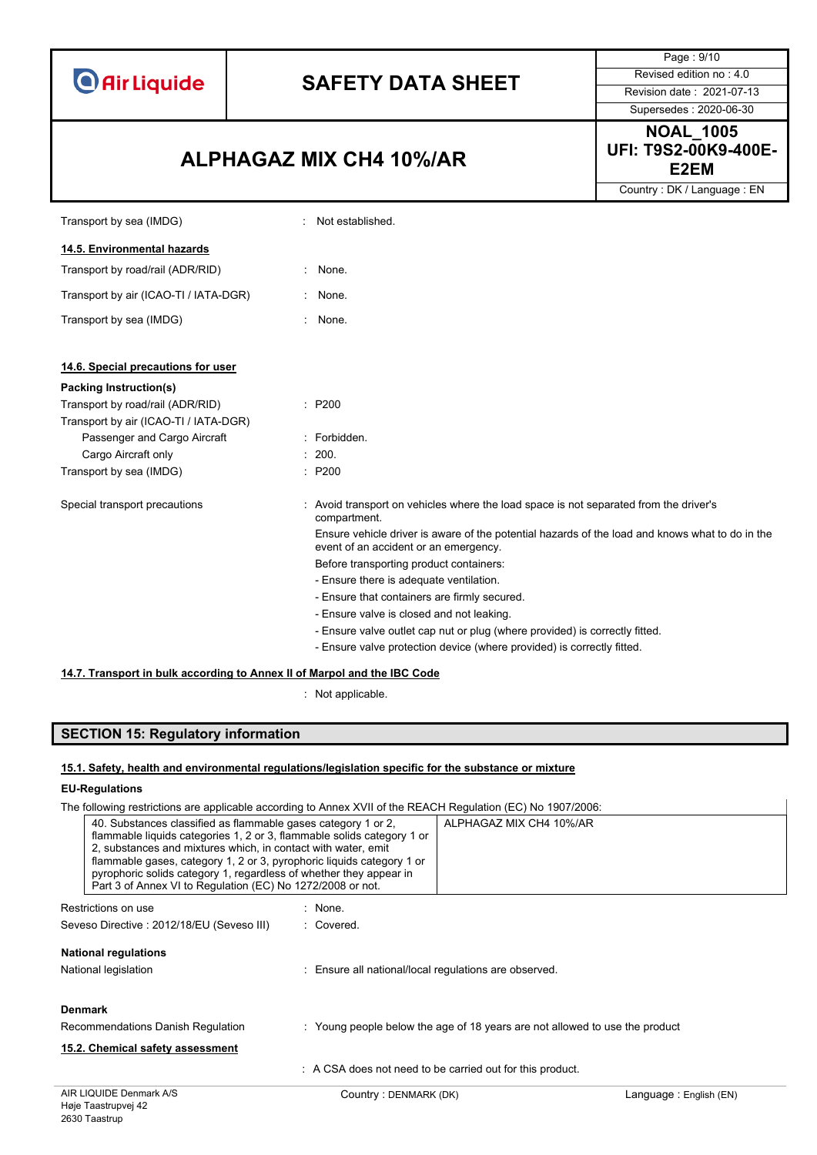# **SAFETY DATA SHEET** Revised edition no : 4.0

### **E2EM ALPHAGAZ MIX CH4 10%/AR**

Page : 9/10 Supersedes : 2020-06-30

**NOAL\_1005 UFI: T9S2-00K9-400E-**

Country : DK / Language : EN

| Transport by sea (IMDG)                                                  | Not established.                                                                                                                         |
|--------------------------------------------------------------------------|------------------------------------------------------------------------------------------------------------------------------------------|
| 14.5. Environmental hazards                                              |                                                                                                                                          |
| Transport by road/rail (ADR/RID)                                         | None.                                                                                                                                    |
| Transport by air (ICAO-TI / IATA-DGR)                                    | None.                                                                                                                                    |
| Transport by sea (IMDG)                                                  | None.                                                                                                                                    |
| 14.6. Special precautions for user                                       |                                                                                                                                          |
| Packing Instruction(s)                                                   |                                                                                                                                          |
| Transport by road/rail (ADR/RID)                                         | : P200                                                                                                                                   |
| Transport by air (ICAO-TI / IATA-DGR)                                    |                                                                                                                                          |
| Passenger and Cargo Aircraft                                             | : Forbidden.                                                                                                                             |
| Cargo Aircraft only                                                      | : 200.                                                                                                                                   |
| Transport by sea (IMDG)                                                  | : P200                                                                                                                                   |
| Special transport precautions                                            | : Avoid transport on vehicles where the load space is not separated from the driver's<br>compartment.                                    |
|                                                                          | Ensure vehicle driver is aware of the potential hazards of the load and knows what to do in the<br>event of an accident or an emergency. |
|                                                                          | Before transporting product containers:                                                                                                  |
|                                                                          | - Ensure there is adequate ventilation.                                                                                                  |
|                                                                          | - Ensure that containers are firmly secured.                                                                                             |
|                                                                          | - Ensure valve is closed and not leaking.                                                                                                |
|                                                                          | - Ensure valve outlet cap nut or plug (where provided) is correctly fitted.                                                              |
|                                                                          | - Ensure valve protection device (where provided) is correctly fitted.                                                                   |
| 14.7. Transport in bulk according to Annex II of Marpol and the IBC Code |                                                                                                                                          |

: Not applicable.

### **SECTION 15: Regulatory information**

#### **15.1. Safety, health and environmental regulations/legislation specific for the substance or mixture**

### **EU-Regulations**

The following restrictions are applicable according to Annex XVII of the REACH Regulation (EC) No 1907/2006:

| 40. Substances classified as flammable gases category 1 or 2,<br>flammable liquids categories 1, 2 or 3, flammable solids category 1 or<br>2, substances and mixtures which, in contact with water, emit<br>flammable gases, category 1, 2 or 3, pyrophoric liquids category 1 or<br>pyrophoric solids category 1, regardless of whether they appear in<br>Part 3 of Annex VI to Regulation (EC) No 1272/2008 or not. |                                                                             | ALPHAGAZ MIX CH4 10%/AR                                 |                        |
|-----------------------------------------------------------------------------------------------------------------------------------------------------------------------------------------------------------------------------------------------------------------------------------------------------------------------------------------------------------------------------------------------------------------------|-----------------------------------------------------------------------------|---------------------------------------------------------|------------------------|
| Restrictions on use                                                                                                                                                                                                                                                                                                                                                                                                   | : None.                                                                     |                                                         |                        |
| Seveso Directive: 2012/18/EU (Seveso III)                                                                                                                                                                                                                                                                                                                                                                             | : Covered.                                                                  |                                                         |                        |
| <b>National regulations</b>                                                                                                                                                                                                                                                                                                                                                                                           |                                                                             |                                                         |                        |
| National legislation                                                                                                                                                                                                                                                                                                                                                                                                  | : Ensure all national/local regulations are observed.                       |                                                         |                        |
| <b>Denmark</b>                                                                                                                                                                                                                                                                                                                                                                                                        |                                                                             |                                                         |                        |
| Recommendations Danish Regulation                                                                                                                                                                                                                                                                                                                                                                                     | : Young people below the age of 18 years are not allowed to use the product |                                                         |                        |
| 15.2. Chemical safety assessment                                                                                                                                                                                                                                                                                                                                                                                      |                                                                             |                                                         |                        |
|                                                                                                                                                                                                                                                                                                                                                                                                                       |                                                                             | A CSA does not need to be carried out for this product. |                        |
| AIR LIQUIDE Denmark A/S<br>Agie Taastrunyei 42                                                                                                                                                                                                                                                                                                                                                                        | Country: DENMARK (DK)                                                       |                                                         | Language: English (EN) |